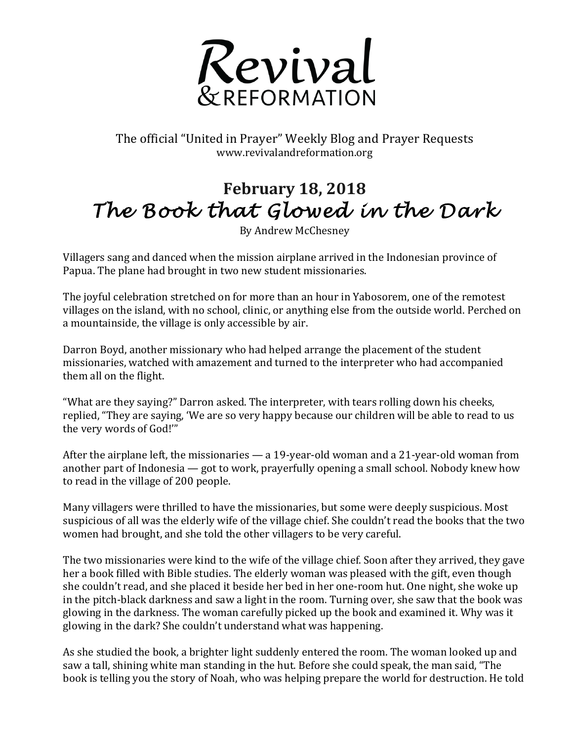

## The official "United in Prayer" Weekly Blog and Prayer Requests www.revivalandreformation.org

## **February 18, 2018** *The Book that Glowed in the Dark*

By Andrew McChesney

Villagers sang and danced when the mission airplane arrived in the Indonesian province of Papua. The plane had brought in two new student missionaries.

The joyful celebration stretched on for more than an hour in Yabosorem, one of the remotest villages on the island, with no school, clinic, or anything else from the outside world. Perched on a mountainside, the village is only accessible by air.

Darron Boyd, another missionary who had helped arrange the placement of the student missionaries, watched with amazement and turned to the interpreter who had accompanied them all on the flight.

"What are they saying?" Darron asked. The interpreter, with tears rolling down his cheeks, replied, "They are saying, 'We are so very happy because our children will be able to read to us the very words of God!"

After the airplane left, the missionaries  $-$  a 19-year-old woman and a 21-year-old woman from another part of Indonesia — got to work, prayerfully opening a small school. Nobody knew how to read in the village of 200 people.

Many villagers were thrilled to have the missionaries, but some were deeply suspicious. Most suspicious of all was the elderly wife of the village chief. She couldn't read the books that the two women had brought, and she told the other villagers to be very careful.

The two missionaries were kind to the wife of the village chief. Soon after they arrived, they gave her a book filled with Bible studies. The elderly woman was pleased with the gift, even though she couldn't read, and she placed it beside her bed in her one-room hut. One night, she woke up in the pitch-black darkness and saw a light in the room. Turning over, she saw that the book was glowing in the darkness. The woman carefully picked up the book and examined it. Why was it glowing in the dark? She couldn't understand what was happening.

As she studied the book, a brighter light suddenly entered the room. The woman looked up and saw a tall, shining white man standing in the hut. Before she could speak, the man said, "The book is telling you the story of Noah, who was helping prepare the world for destruction. He told